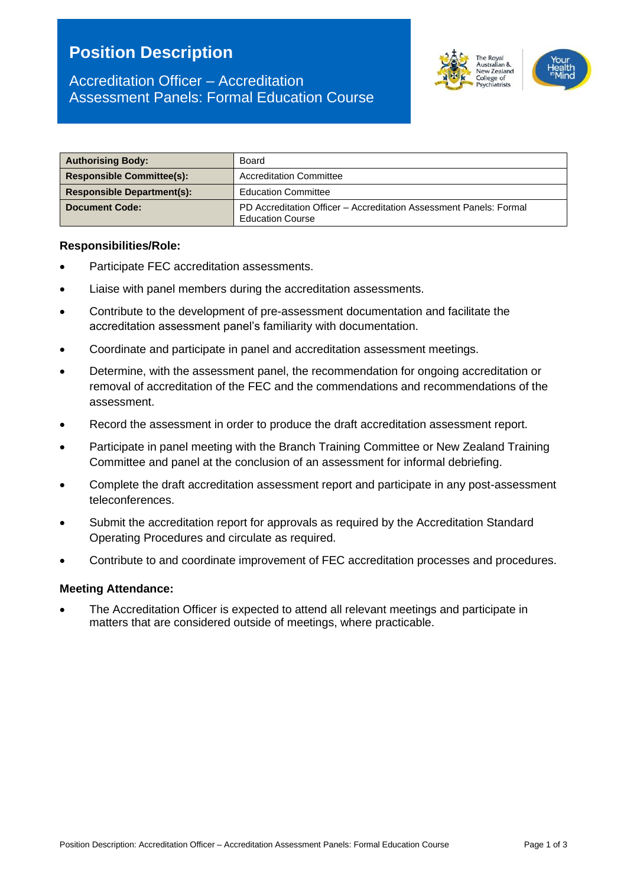# **Position Description**





| <b>Authorising Body:</b>          | Board                                                                                         |  |
|-----------------------------------|-----------------------------------------------------------------------------------------------|--|
| <b>Responsible Committee(s):</b>  | <b>Accreditation Committee</b>                                                                |  |
| <b>Responsible Department(s):</b> | <b>Education Committee</b>                                                                    |  |
| <b>Document Code:</b>             | PD Accreditation Officer - Accreditation Assessment Panels: Formal<br><b>Education Course</b> |  |

#### **Responsibilities/Role:**

- Participate FEC accreditation assessments.
- Liaise with panel members during the accreditation assessments.
- Contribute to the development of pre-assessment documentation and facilitate the accreditation assessment panel's familiarity with documentation.
- Coordinate and participate in panel and accreditation assessment meetings.
- Determine, with the assessment panel, the recommendation for ongoing accreditation or removal of accreditation of the FEC and the commendations and recommendations of the assessment.
- Record the assessment in order to produce the draft accreditation assessment report.
- Participate in panel meeting with the Branch Training Committee or New Zealand Training Committee and panel at the conclusion of an assessment for informal debriefing.
- Complete the draft accreditation assessment report and participate in any post-assessment teleconferences.
- Submit the accreditation report for approvals as required by the Accreditation Standard Operating Procedures and circulate as required.
- Contribute to and coordinate improvement of FEC accreditation processes and procedures.

#### **Meeting Attendance:**

• The Accreditation Officer is expected to attend all relevant meetings and participate in matters that are considered outside of meetings, where practicable.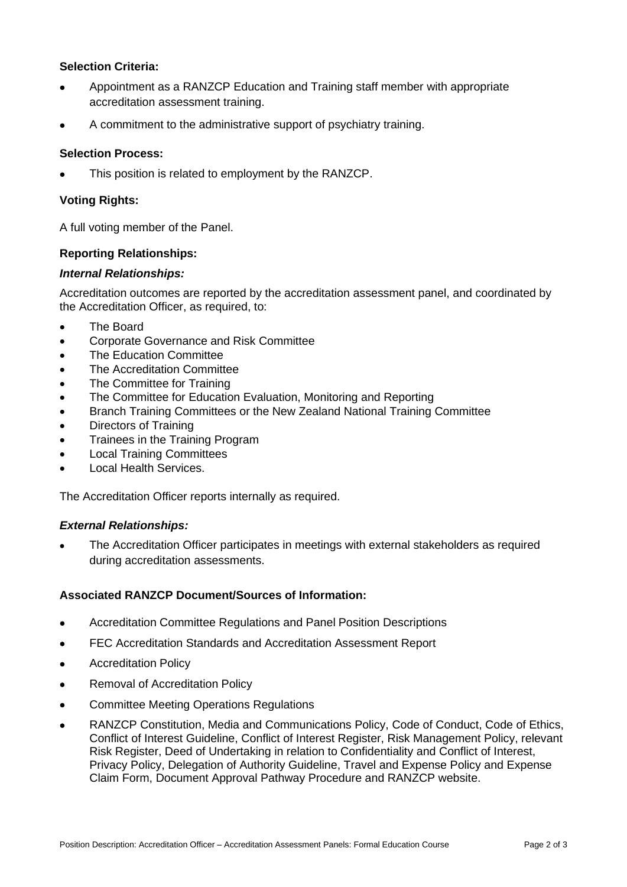### **Selection Criteria:**

- Appointment as a RANZCP Education and Training staff member with appropriate accreditation assessment training.
- A commitment to the administrative support of psychiatry training.

#### **Selection Process:**

This position is related to employment by the RANZCP.

### **Voting Rights:**

A full voting member of the Panel.

#### **Reporting Relationships:**

#### *Internal Relationships:*

Accreditation outcomes are reported by the accreditation assessment panel, and coordinated by the Accreditation Officer, as required, to:

- The Board
- Corporate Governance and Risk Committee
- The Education Committee
- The Accreditation Committee
- The Committee for Training
- The Committee for Education Evaluation, Monitoring and Reporting
- Branch Training Committees or the New Zealand National Training Committee
- Directors of Training
- Trainees in the Training Program
- Local Training Committees
- Local Health Services.

The Accreditation Officer reports internally as required.

#### *External Relationships:*

• The Accreditation Officer participates in meetings with external stakeholders as required during accreditation assessments.

#### **Associated RANZCP Document/Sources of Information:**

- Accreditation Committee Regulations and Panel Position Descriptions
- FEC Accreditation Standards and Accreditation Assessment Report
- Accreditation Policy
- Removal of Accreditation Policy
- Committee Meeting Operations Regulations
- RANZCP Constitution, Media and Communications Policy, Code of Conduct, Code of Ethics, Conflict of Interest Guideline, Conflict of Interest Register, Risk Management Policy, relevant Risk Register, Deed of Undertaking in relation to Confidentiality and Conflict of Interest, Privacy Policy, Delegation of Authority Guideline, Travel and Expense Policy and Expense Claim Form, Document Approval Pathway Procedure and RANZCP website.